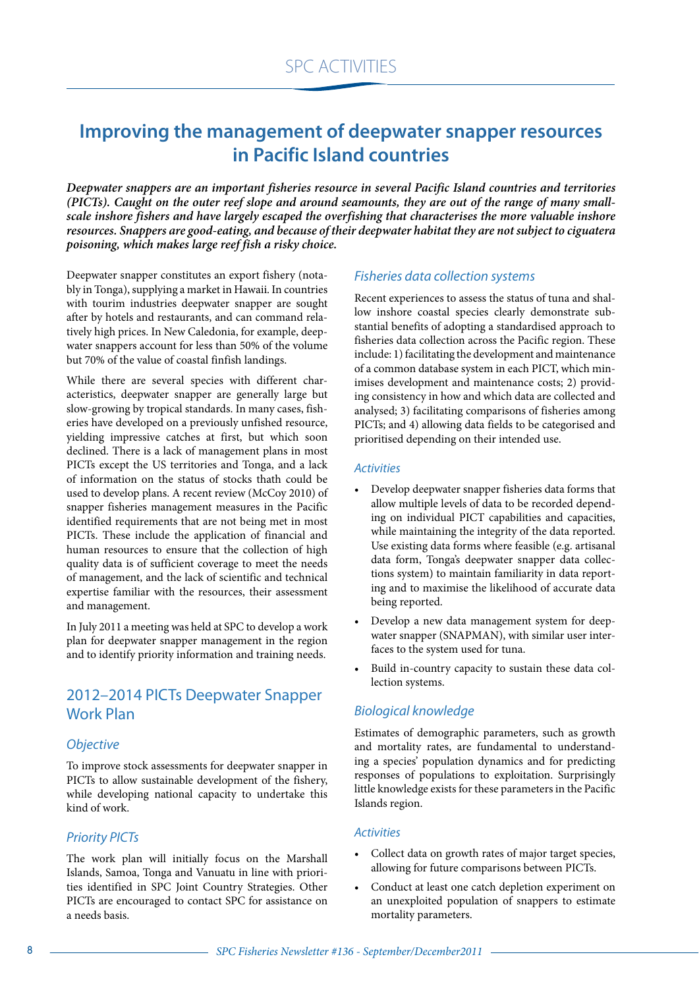# **Improving the management of deepwater snapper resources in Pacific Island countries**

*Deepwater snappers are an important fisheries resource in several Pacific Island countries and territories (PICTs). Caught on the outer reef slope and around seamounts, they are out of the range of many smallscale inshore fishers and have largely escaped the overfishing that characterises the more valuable inshore resources. Snappers are good-eating, and because of their deepwater habitat they are not subject to ciguatera poisoning, which makes large reef fish a risky choice.* 

Deepwater snapper constitutes an export fishery (notably in Tonga), supplying a market in Hawaii. In countries with tourim industries deepwater snapper are sought after by hotels and restaurants, and can command relatively high prices. In New Caledonia, for example, deepwater snappers account for less than 50% of the volume but 70% of the value of coastal finfish landings.

While there are several species with different characteristics, deepwater snapper are generally large but slow-growing by tropical standards. In many cases, fisheries have developed on a previously unfished resource, yielding impressive catches at first, but which soon declined. There is a lack of management plans in most PICTs except the US territories and Tonga, and a lack of information on the status of stocks thath could be used to develop plans. A recent review (McCoy 2010) of snapper fisheries management measures in the Pacific identified requirements that are not being met in most PICTs. These include the application of financial and human resources to ensure that the collection of high quality data is of sufficient coverage to meet the needs of management, and the lack of scientific and technical expertise familiar with the resources, their assessment and management.

In July 2011 a meeting was held at SPC to develop a work plan for deepwater snapper management in the region and to identify priority information and training needs.

## 2012–2014 PICTs Deepwater Snapper Work Plan

## **Objective**

To improve stock assessments for deepwater snapper in PICTs to allow sustainable development of the fishery, while developing national capacity to undertake this kind of work.

## Priority PICTs

The work plan will initially focus on the Marshall Islands, Samoa, Tonga and Vanuatu in line with priorities identified in SPC Joint Country Strategies. Other PICTs are encouraged to contact SPC for assistance on a needs basis.

## Fisheries data collection systems

Recent experiences to assess the status of tuna and shallow inshore coastal species clearly demonstrate substantial benefits of adopting a standardised approach to fisheries data collection across the Pacific region. These include: 1) facilitating the development and maintenance of a common database system in each PICT, which minimises development and maintenance costs; 2) providing consistency in how and which data are collected and analysed; 3) facilitating comparisons of fisheries among PICTs; and 4) allowing data fields to be categorised and prioritised depending on their intended use.

## **Activities**

- Develop deepwater snapper fisheries data forms that allow multiple levels of data to be recorded depending on individual PICT capabilities and capacities, while maintaining the integrity of the data reported. Use existing data forms where feasible (e.g. artisanal data form, Tonga's deepwater snapper data collections system) to maintain familiarity in data reporting and to maximise the likelihood of accurate data being reported.
- Develop a new data management system for deepwater snapper (SNAPMAN), with similar user interfaces to the system used for tuna.
- Build in-country capacity to sustain these data collection systems.

## Biological knowledge

Estimates of demographic parameters, such as growth and mortality rates, are fundamental to understanding a species' population dynamics and for predicting responses of populations to exploitation. Surprisingly little knowledge exists for these parameters in the Pacific Islands region.

## **Activities**

- Collect data on growth rates of major target species, allowing for future comparisons between PICTs.
- Conduct at least one catch depletion experiment on an unexploited population of snappers to estimate mortality parameters.